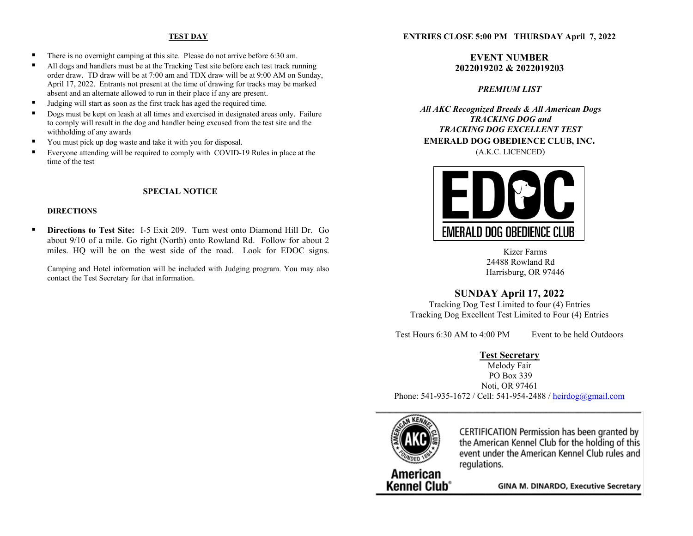# **TEST DAY**

- There is no overnight camping at this site. Please do not arrive before 6:30 am.
- All dogs and handlers must be at the Tracking Test site before each test track running order draw. TD draw will be at 7:00 am and TDX draw will be at 9:00 AM on Sunday, April 17, 2022. Entrants not present at the time of drawing for tracks may be marked absent and an alternate allowed to run in their place if any are present.
- Judging will start as soon as the first track has aged the required time.
- Dogs must be kept on leash at all times and exercised in designated areas only. Failure to comply will result in the dog and handler being excused from the test site and the withholding of any awards
- You must pick up dog waste and take it with you for disposal.
- Everyone attending will be required to comply with COVID-19 Rules in place at the time of the test

### **SPECIAL NOTICE**

#### **DIRECTIONS**

 **Directions to Test Site:** I-5 Exit 209. Turn west onto Diamond Hill Dr. Go about 9/10 of a mile. Go right (North) onto Rowland Rd. Follow for about 2 miles. HQ will be on the west side of the road. Look for EDOC signs.

Camping and Hotel information will be included with Judging program. You may also contact the Test Secretary for that information.

#### **ENTRIES CLOSE 5:00 PM THURSDAY April 7, 2022**

# **EVENT NUMBER 2022019202 & 2022019203**

# *PREMIUM LIST*

*All AKC Recognized Breeds & All American Dogs TRACKING DOG and TRACKING DOG EXCELLENT TEST* **EMERALD DOG OBEDIENCE CLUB, INC.** (A.K.C. LICENCED)



Kizer Farms 24488 Rowland Rd Harrisburg, OR 97446

# **SUNDAY April 17, 2022**

Tracking Dog Test Limited to four (4) Entries Tracking Dog Excellent Test Limited to Four (4) Entries

Test Hours 6:30 AM to 4:00 PM Event to be held Outdoors

# **Test Secretary**

Melody Fair PO Box 339 Noti, OR 97461 Phone:  $541-935-1672$  / Cell:  $541-954-2488$  [/ heirdog@gmail.com](mailto:heirdog@gmail.com)



CERTIFICATION Permission has been granted by the American Kennel Club for the holding of this event under the American Kennel Club rules and regulations.

American **Kennel Club<sup>®</sup>** 

**GINA M. DINARDO, Executive Secretary**